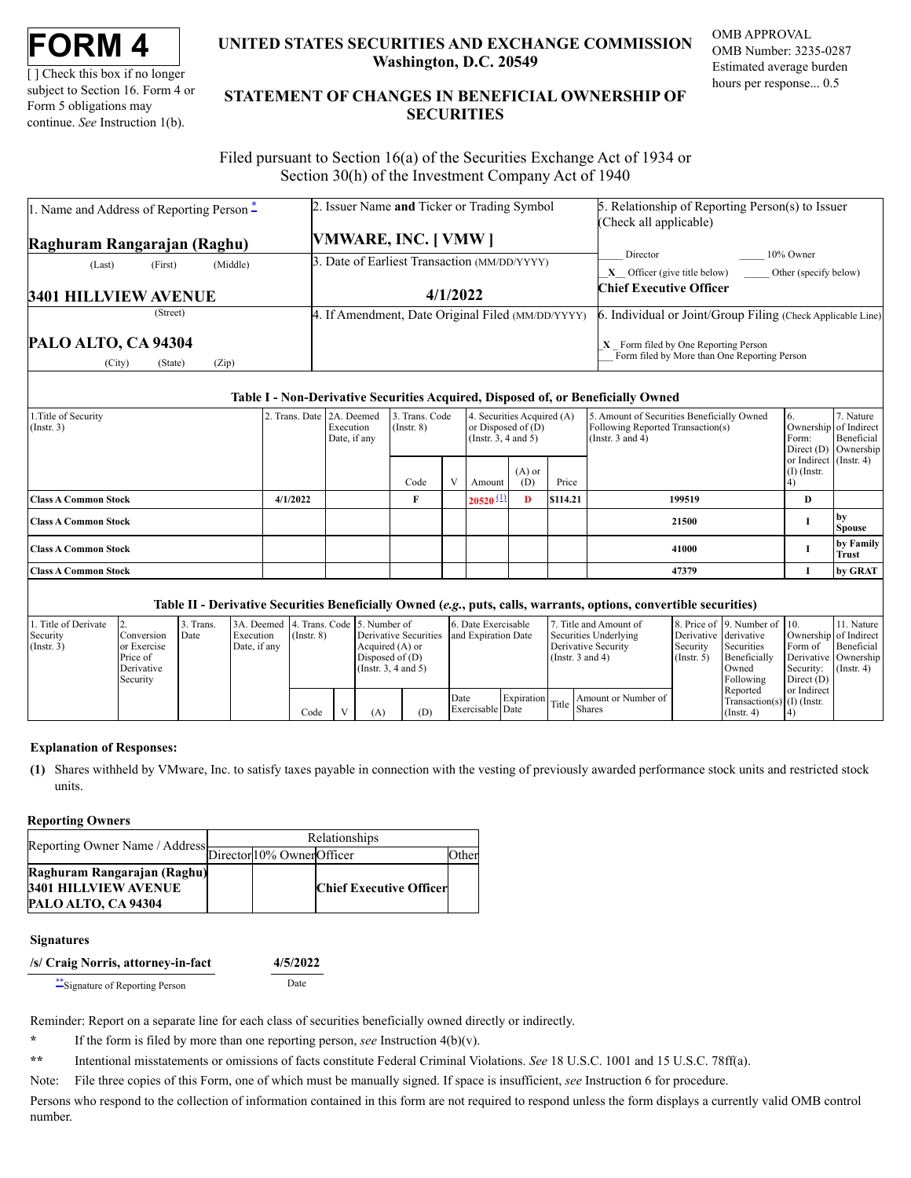[] Check this box if no longer subject to Section 16. Form 4 or Form 5 obligations may continue. *See* Instruction 1(b).

# **UNITED STATES SECURITIES AND EXCHANGE COMMISSION Washington, D.C. 20549**

OMB APPROVAL OMB Number: 3235-0287 Estimated average burden hours per response... 0.5

# **STATEMENT OF CHANGES IN BENEFICIAL OWNERSHIP OF SECURITIES**

Filed pursuant to Section 16(a) of the Securities Exchange Act of 1934 or Section 30(h) of the Investment Company Act of 1940

| 1. Name and Address of Reporting Person $\ddot{=}$ | 2. Issuer Name and Ticker or Trading Symbol       | 5. Relationship of Reporting Person(s) to Issuer            |  |  |  |  |
|----------------------------------------------------|---------------------------------------------------|-------------------------------------------------------------|--|--|--|--|
|                                                    |                                                   | (Check all applicable)                                      |  |  |  |  |
| Raghuram Rangarajan (Raghu)                        | VMWARE, INC. [VMW]                                |                                                             |  |  |  |  |
| (Middle)<br>(First)<br>(Last)                      | 3. Date of Earliest Transaction (MM/DD/YYYY)      | 10% Owner<br>Director                                       |  |  |  |  |
|                                                    |                                                   | $X$ Officer (give title below) Other (specify below)        |  |  |  |  |
| <b>3401 HILLVIEW AVENUE</b>                        | 4/1/2022                                          | <b>Chief Executive Officer</b>                              |  |  |  |  |
| (Street)                                           | 4. If Amendment, Date Original Filed (MM/DD/YYYY) | 6. Individual or Joint/Group Filing (Check Applicable Line) |  |  |  |  |
|                                                    |                                                   |                                                             |  |  |  |  |

## **Table I - Non-Derivative Securities Acquired, Disposed of, or Beneficially Owned**

| 1. Title of Security<br>$($ Instr. 3) | 2. Trans. Date 2A. Deemed | Execution<br>Date, if any | 3. Trans. Code<br>$($ Instr. $8)$ |           | 4. Securities Acquired (A)<br>or Disposed of $(D)$<br>(Instr. 3, 4 and 5) |                 |          | 5. Amount of Securities Beneficially Owned<br>Following Reported Transaction(s)<br>(Instr. $3$ and $4$ ) | Form:                                   | . Nature<br>Ownership of Indirect<br>Beneficial<br>Direct (D) Ownership |
|---------------------------------------|---------------------------|---------------------------|-----------------------------------|-----------|---------------------------------------------------------------------------|-----------------|----------|----------------------------------------------------------------------------------------------------------|-----------------------------------------|-------------------------------------------------------------------------|
|                                       |                           |                           | Code                              | <b>TT</b> | Amount                                                                    | $(A)$ or<br>(D) | Price    |                                                                                                          | or Indirect (Instr. 4)<br>$(I)$ (Instr. |                                                                         |
| <b>Class A Common Stock</b>           | 4/1/2022                  |                           |                                   |           | $20520^{(1)}$                                                             | D               | \$114.21 | 199519                                                                                                   | D                                       |                                                                         |
| <b>Class A Common Stock</b>           |                           |                           |                                   |           |                                                                           |                 |          | 21500                                                                                                    |                                         | l bv<br><b>Spouse</b>                                                   |
| <b>Class A Common Stock</b>           |                           |                           |                                   |           |                                                                           |                 |          | 41000                                                                                                    |                                         | by Family<br>Trust                                                      |
| <b>Class A Common Stock</b>           |                           |                           |                                   |           |                                                                           |                 |          | 47379                                                                                                    |                                         | by GRAT                                                                 |

### **Table II - Derivative Securities Beneficially Owned (***e.g.***, puts, calls, warrants, options, convertible securities)**

| 1. Title of Derivate |              | 3. Trans. | 3A. Deemed 14. Trans. Code 15. Number of |                 |                           |     | 6. Date Exercisable |  | Title and Amount of                            |                       | 8. Price of 19. Number of 10. |                       | 11. Nature       |
|----------------------|--------------|-----------|------------------------------------------|-----------------|---------------------------|-----|---------------------|--|------------------------------------------------|-----------------------|-------------------------------|-----------------------|------------------|
| Security             | Conversion   | Date      | Execution                                | $($ Instr. $8)$ | Derivative Securities     |     | and Expiration Date |  | Securities Underlying                          | Derivative derivative |                               | Ownership of Indirect |                  |
| $($ Instr. 3)        | lor Exercise |           | Date, if any                             |                 | Acquired (A) or           |     |                     |  | Derivative Security                            | Security              | Securities                    | Form of               | Beneficial       |
|                      | Price of     |           |                                          |                 | Disposed of $(D)$         |     |                     |  | (Instr. $3$ and $4$ )                          | $($ Instr $, 5)$      | Beneficially                  | Derivative Ownership  |                  |
|                      | Derivative   |           |                                          |                 | $($ Instr. 3, 4 and 5 $)$ |     |                     |  |                                                |                       | Owned                         | Security:             | $($ Instr. 4 $)$ |
|                      | Security     |           |                                          |                 |                           |     |                     |  |                                                |                       | Following                     | Direct $(D)$          |                  |
|                      |              |           |                                          |                 |                           |     |                     |  |                                                |                       | Reported                      | or Indirect           |                  |
|                      |              |           |                                          |                 |                           |     | Date                |  | Amount or Number of<br>Expiration Title Shares |                       | Transaction(s) $(I)$ (Instr.  |                       |                  |
|                      |              |           |                                          | Code            | (A)                       | (D) | Exercisable Date    |  |                                                |                       | $($ Instr $, 4)$              |                       |                  |

### **Explanation of Responses:**

<span id="page-0-1"></span>**(1)** Shares withheld by VMware, Inc. to satisfy taxes payable in connection with the vesting of previously awarded performance stock units and restricted stock units.

### **Reporting Owners**

|                                                           | Relationships |  |                                |       |  |  |  |  |
|-----------------------------------------------------------|---------------|--|--------------------------------|-------|--|--|--|--|
| Reporting Owner Name / Address Director 10% Owner Officer |               |  |                                | )ther |  |  |  |  |
| Raghuram Rangarajan (Raghu)                               |               |  |                                |       |  |  |  |  |
| <b>3401 HILLVIEW AVENUE</b>                               |               |  | <b>Chief Executive Officer</b> |       |  |  |  |  |
| PALO ALTO, CA 94304                                       |               |  |                                |       |  |  |  |  |

#### **Signatures**

**/s/ Craig Norris, attorney-in-fact 4/5/2022**

[\\*\\*](#page-0-2)Signature of Reporting Person Date

Reminder: Report on a separate line for each class of securities beneficially owned directly or indirectly.

<span id="page-0-0"></span>**\*** If the form is filed by more than one reporting person, *see* Instruction 4(b)(v).

<span id="page-0-2"></span>**\*\*** Intentional misstatements or omissions of facts constitute Federal Criminal Violations. *See* 18 U.S.C. 1001 and 15 U.S.C. 78ff(a).

Note: File three copies of this Form, one of which must be manually signed. If space is insufficient, *see* Instruction 6 for procedure.

Persons who respond to the collection of information contained in this form are not required to respond unless the form displays a currently valid OMB control number.